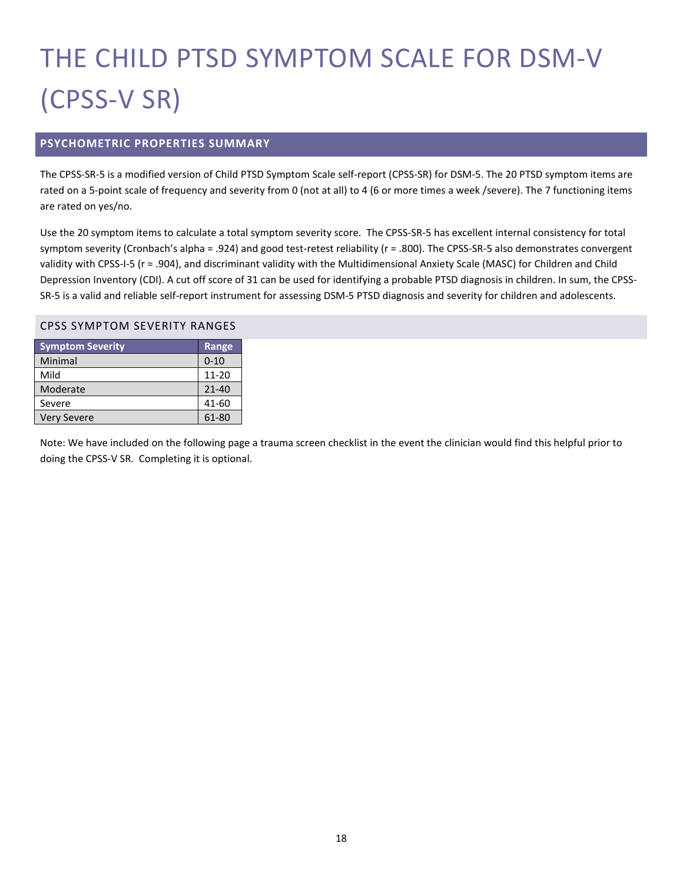# THE CHILD PTSD SYMPTOM SCALE FOR DSM-V (CPSS-V SR)

## **PSYCHOMETRIC PROPERTIES SUMMARY**

The CPSS-SR-5 is a modified version of Child PTSD Symptom Scale self-report (CPSS-SR) for DSM-5. The 20 PTSD symptom items are rated on a 5-point scale of frequency and severity from 0 (not at all) to 4 (6 or more times a week /severe). The 7 functioning items are rated on yes/no.

Use the 20 symptom items to calculate a total symptom severity score. The CPSS-SR-5 has excellent internal consistency for total symptom severity (Cronbach's alpha = .924) and good test-retest reliability (r = .800). The CPSS-SR-5 also demonstrates convergent validity with CPSS-I-5 (r = .904), and discriminant validity with the Multidimensional Anxiety Scale (MASC) for Children and Child Depression Inventory (CDI). A cut off score of 31 can be used for identifying a probable PTSD diagnosis in children. In sum, the CPSS-SR-5 is a valid and reliable self-report instrument for assessing DSM-5 PTSD diagnosis and severity for children and adolescents.

#### CPSS SYMPTOM SEVERITY RANGES

| <b>Symptom Severity</b> | Range     |
|-------------------------|-----------|
| Minimal                 | $0 - 10$  |
| Mild                    | $11 - 20$ |
| Moderate                | $21 - 40$ |
| Severe                  | 41-60     |
| <b>Very Severe</b>      | 61-80     |

Note: We have included on the following page a trauma screen checklist in the event the clinician would find this helpful prior to doing the CPSS-V SR. Completing it is optional.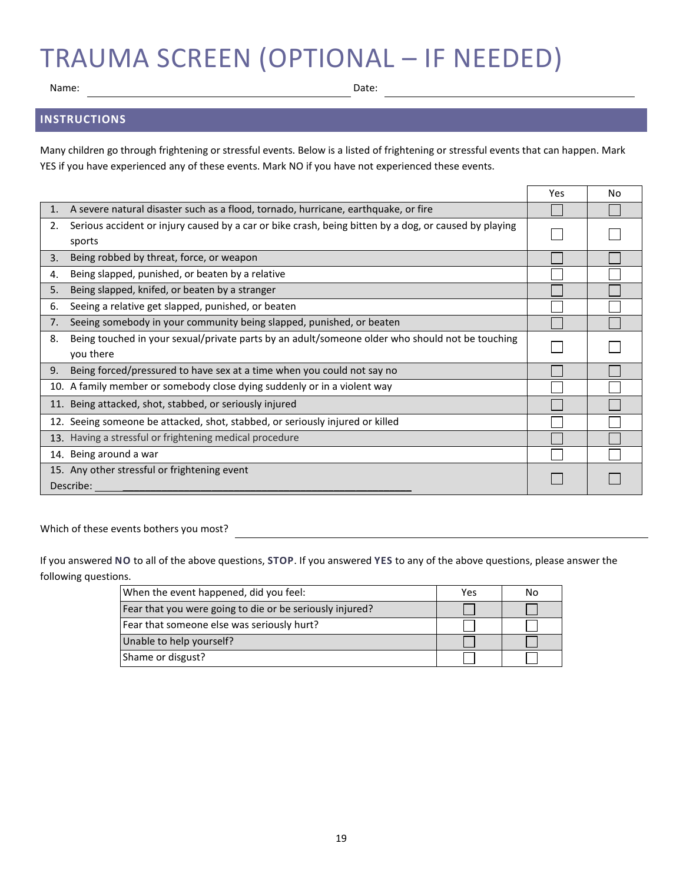# TRAUMA SCREEN (OPTIONAL – IF NEEDED)

Name: Date:

## **INSTRUCTIONS**

Many children go through frightening or stressful events. Below is a listed of frightening or stressful events that can happen. Mark YES if you have experienced any of these events. Mark NO if you have not experienced these events.

|    |                                                                                                       | Yes | No |
|----|-------------------------------------------------------------------------------------------------------|-----|----|
|    | A severe natural disaster such as a flood, tornado, hurricane, earthquake, or fire                    |     |    |
| 2. | Serious accident or injury caused by a car or bike crash, being bitten by a dog, or caused by playing |     |    |
|    | sports                                                                                                |     |    |
| 3. | Being robbed by threat, force, or weapon                                                              |     |    |
| 4. | Being slapped, punished, or beaten by a relative                                                      |     |    |
| 5. | Being slapped, knifed, or beaten by a stranger                                                        |     |    |
| 6. | Seeing a relative get slapped, punished, or beaten                                                    |     |    |
| 7. | Seeing somebody in your community being slapped, punished, or beaten                                  |     |    |
| 8. | Being touched in your sexual/private parts by an adult/someone older who should not be touching       |     |    |
|    | you there                                                                                             |     |    |
| 9. | Being forced/pressured to have sex at a time when you could not say no                                |     |    |
|    | 10. A family member or somebody close dying suddenly or in a violent way                              |     |    |
|    | 11. Being attacked, shot, stabbed, or seriously injured                                               |     |    |
|    | 12. Seeing someone be attacked, shot, stabbed, or seriously injured or killed                         |     |    |
|    | 13. Having a stressful or frightening medical procedure                                               |     |    |
|    | 14. Being around a war                                                                                |     |    |
|    | 15. Any other stressful or frightening event                                                          |     |    |
|    | Describe:                                                                                             |     |    |

Which of these events bothers you most?

If you answered **NO** to all of the above questions, **STOP**. If you answered **YES** to any of the above questions, please answer the following questions.

| When the event happened, did you feel:                   | Yes | No |
|----------------------------------------------------------|-----|----|
| Fear that you were going to die or be seriously injured? |     |    |
| Fear that someone else was seriously hurt?               |     |    |
| Unable to help yourself?                                 |     |    |
| Shame or disgust?                                        |     |    |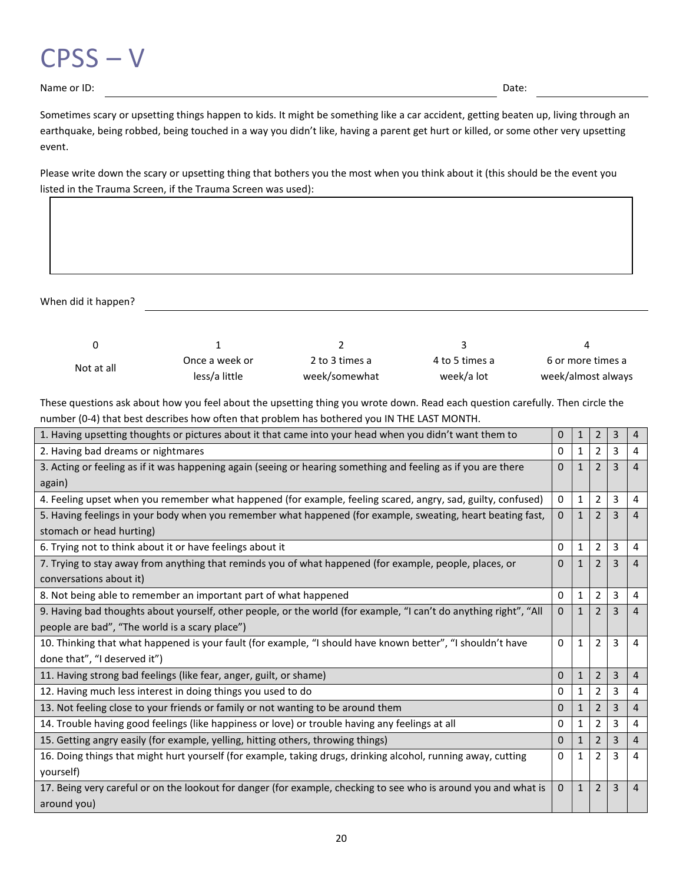

Name or ID: Date:

Sometimes scary or upsetting things happen to kids. It might be something like a car accident, getting beaten up, living through an earthquake, being robbed, being touched in a way you didn't like, having a parent get hurt or killed, or some other very upsetting event.

Please write down the scary or upsetting thing that bothers you the most when you think about it (this should be the event you listed in the Trauma Screen, if the Trauma Screen was used):

When did it happen?

| Not at all | Once a week or | 2 to 3 times a | 4 to 5 times a | 6 or more times a  |
|------------|----------------|----------------|----------------|--------------------|
|            | less/a little  | week/somewhat  | week/a lot     | week/almost always |

These questions ask about how you feel about the upsetting thing you wrote down. Read each question carefully. Then circle the number (0-4) that best describes how often that problem has bothered you IN THE LAST MONTH.

| 1. Having upsetting thoughts or pictures about it that came into your head when you didn't want them to           | 0            | $\mathbf{1}$ | $\overline{2}$           | 3              | 4              |
|-------------------------------------------------------------------------------------------------------------------|--------------|--------------|--------------------------|----------------|----------------|
| 2. Having bad dreams or nightmares                                                                                | 0            | $\mathbf{1}$ | $\overline{2}$           | 3              | 4              |
| 3. Acting or feeling as if it was happening again (seeing or hearing something and feeling as if you are there    |              | $\mathbf{1}$ | 2                        | 3              | 4              |
| again)                                                                                                            |              |              |                          |                |                |
| 4. Feeling upset when you remember what happened (for example, feeling scared, angry, sad, guilty, confused)      | 0            | $\mathbf{1}$ | $\overline{2}$           | 3              | 4              |
| 5. Having feelings in your body when you remember what happened (for example, sweating, heart beating fast,       | 0            | $\mathbf{1}$ | 2                        | $\overline{3}$ | 4              |
| stomach or head hurting)                                                                                          |              |              |                          |                |                |
| 6. Trying not to think about it or have feelings about it                                                         | 0            | 1            | 2                        | 3              | 4              |
| 7. Trying to stay away from anything that reminds you of what happened (for example, people, places, or           | $\Omega$     | $\mathbf{1}$ | 2                        | 3              | $\overline{4}$ |
| conversations about it)                                                                                           |              |              |                          |                |                |
| 8. Not being able to remember an important part of what happened                                                  | $\mathbf{0}$ | 1            | 2                        | 3              | 4              |
| 9. Having bad thoughts about yourself, other people, or the world (for example, "I can't do anything right", "All | $\Omega$     | $\mathbf{1}$ | $\overline{2}$           | 3              | $\overline{4}$ |
| people are bad", "The world is a scary place")                                                                    |              |              |                          |                |                |
| 10. Thinking that what happened is your fault (for example, "I should have known better", "I shouldn't have       | $\Omega$     | $\mathbf{1}$ | $\overline{\phantom{0}}$ | 3              | 4              |
| done that", "I deserved it")                                                                                      |              |              |                          |                |                |
| 11. Having strong bad feelings (like fear, anger, guilt, or shame)                                                | 0            | $\mathbf{1}$ | 2                        | 3              | 4              |
| 12. Having much less interest in doing things you used to do                                                      | 0            | 1            | 2                        | 3              | 4              |
| 13. Not feeling close to your friends or family or not wanting to be around them                                  | $\Omega$     | $\mathbf{1}$ | 2                        | 3              | 4              |
| 14. Trouble having good feelings (like happiness or love) or trouble having any feelings at all                   | 0            | 1            | 2                        | 3              | 4              |
| 15. Getting angry easily (for example, yelling, hitting others, throwing things)                                  | $\Omega$     | $\mathbf{1}$ | 2                        | 3              | $\overline{4}$ |
| 16. Doing things that might hurt yourself (for example, taking drugs, drinking alcohol, running away, cutting     | $\Omega$     | $\mathbf{1}$ | $\mathcal{P}$            | 3              | 4              |
| yourself)                                                                                                         |              |              |                          |                |                |
| 17. Being very careful or on the lookout for danger (for example, checking to see who is around you and what is   | $\mathbf{0}$ | $\mathbf{1}$ | 2                        | 3              | 4              |
| around you)                                                                                                       |              |              |                          |                |                |